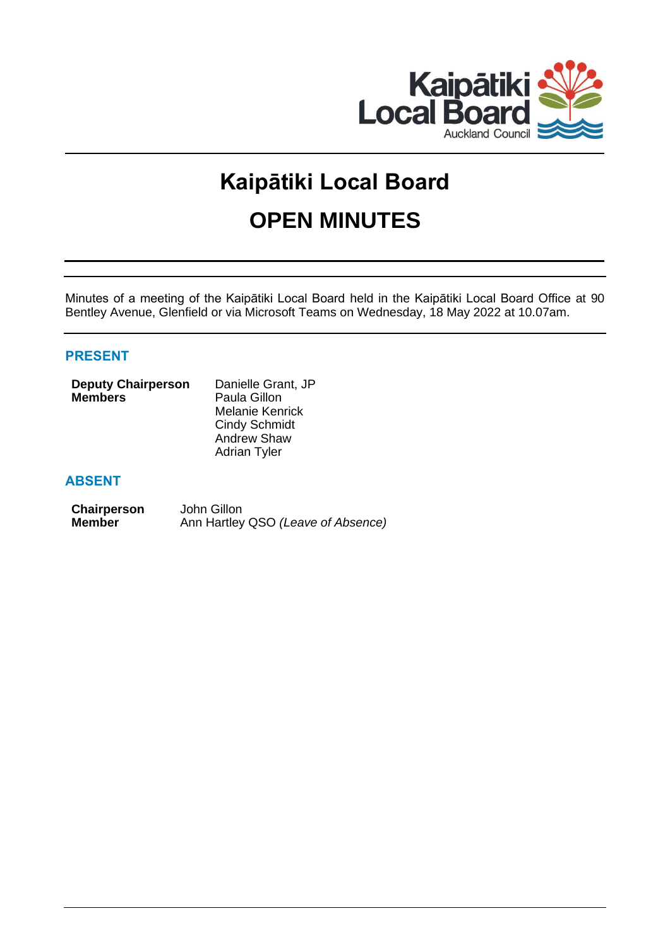

# **Kaipātiki Local Board OPEN MINUTES**

Minutes of a meeting of the Kaipātiki Local Board held in the Kaipātiki Local Board Office at 90 Bentley Avenue, Glenfield or via Microsoft Teams on Wednesday, 18 May 2022 at 10.07am.

# **PRESENT**

| <b>Deputy Chairperson</b> | Danielle Grant, JP   |  |
|---------------------------|----------------------|--|
| <b>Members</b>            | Paula Gillon         |  |
|                           | Melanie Kenrick      |  |
|                           | <b>Cindy Schmidt</b> |  |
|                           | <b>Andrew Shaw</b>   |  |

# **ABSENT**

| Chairperson   | John Gillon                        |
|---------------|------------------------------------|
| <b>Member</b> | Ann Hartley QSO (Leave of Absence) |

Adrian Tyler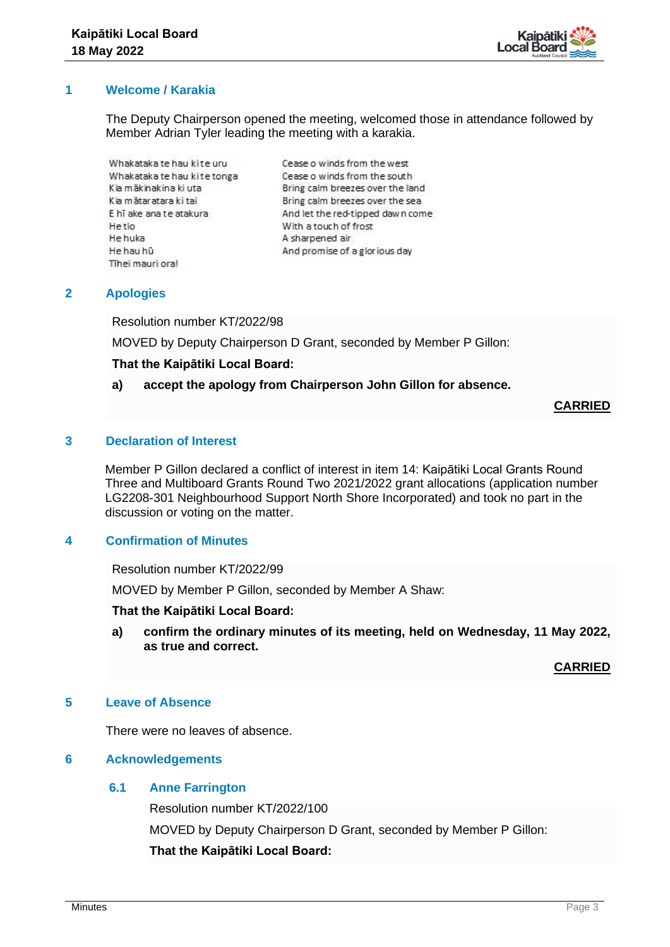

# **1 Welcome / Karakia**

The Deputy Chairperson opened the meeting, welcomed those in attendance followed by Member Adrian Tyler leading the meeting with a karakia.

Whakataka te hau kite uru Whakataka te hau kite tonga Kia mākinakina ki uta Kia mātaratara ki tai E hī ake ana te atakura Hetio He huka He hau hū Tihei mauri ora!

Cease o winds from the west Cease o winds from the south Bring calm breezes over the land Bring calm breezes over the sea And let the red-tipped dawn come With a touch of frost A sharpened air And promise of a glorious day

# **2 Apologies**

Resolution number KT/2022/98

MOVED by Deputy Chairperson D Grant, seconded by Member P Gillon:

## **That the Kaipātiki Local Board:**

# **a) accept the apology from Chairperson John Gillon for absence.**

**CARRIED**

# **3 Declaration of Interest**

Member P Gillon declared a conflict of interest in item 14: Kaipātiki Local Grants Round Three and Multiboard Grants Round Two 2021/2022 grant allocations (application number LG2208-301 Neighbourhood Support North Shore Incorporated) and took no part in the discussion or voting on the matter.

# **4 Confirmation of Minutes**

Resolution number KT/2022/99

MOVED by Member P Gillon, seconded by Member A Shaw:

**That the Kaipātiki Local Board:**

**a) confirm the ordinary minutes of its meeting, held on Wednesday, 11 May 2022, as true and correct.**

**CARRIED**

## **5 Leave of Absence**

There were no leaves of absence.

## **6 Acknowledgements**

## **6.1 Anne Farrington**

Resolution number KT/2022/100 MOVED by Deputy Chairperson D Grant, seconded by Member P Gillon: **That the Kaipātiki Local Board:**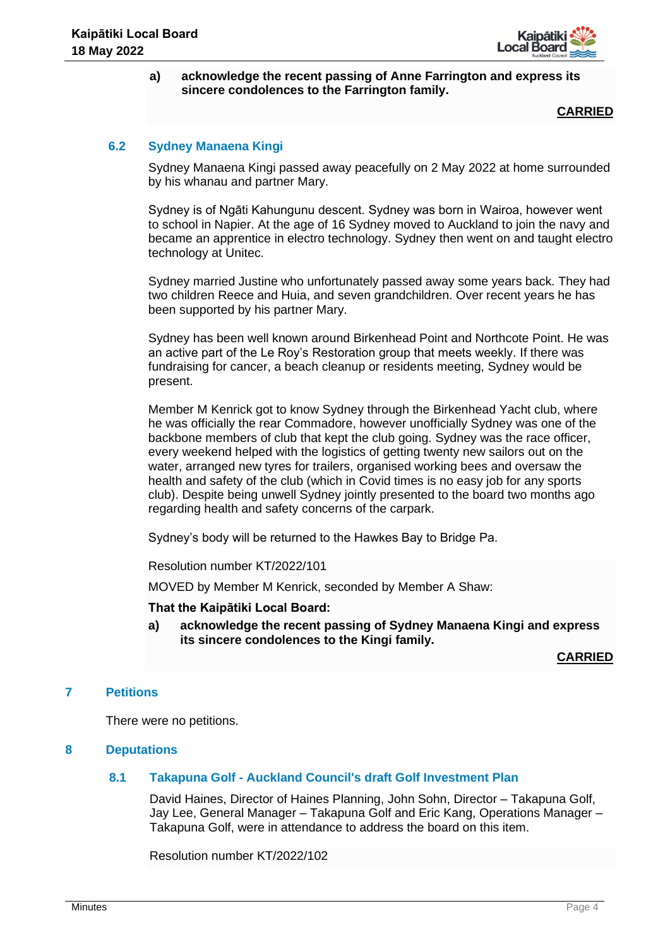

## **a) acknowledge the recent passing of Anne Farrington and express its sincere condolences to the Farrington family.**

**CARRIED**

# **6.2 Sydney Manaena Kingi**

Sydney Manaena Kingi passed away peacefully on 2 May 2022 at home surrounded by his whanau and partner Mary.

Sydney is of Ngāti Kahungunu descent. Sydney was born in Wairoa, however went to school in Napier. At the age of 16 Sydney moved to Auckland to join the navy and became an apprentice in electro technology. Sydney then went on and taught electro technology at Unitec.

Sydney married Justine who unfortunately passed away some years back. They had two children Reece and Huia, and seven grandchildren. Over recent years he has been supported by his partner Mary.

Sydney has been well known around Birkenhead Point and Northcote Point. He was an active part of the Le Roy's Restoration group that meets weekly. If there was fundraising for cancer, a beach cleanup or residents meeting, Sydney would be present.

Member M Kenrick got to know Sydney through the Birkenhead Yacht club, where he was officially the rear Commadore, however unofficially Sydney was one of the backbone members of club that kept the club going. Sydney was the race officer, every weekend helped with the logistics of getting twenty new sailors out on the water, arranged new tyres for trailers, organised working bees and oversaw the health and safety of the club (which in Covid times is no easy job for any sports club). Despite being unwell Sydney jointly presented to the board two months ago regarding health and safety concerns of the carpark.

Sydney's body will be returned to the Hawkes Bay to Bridge Pa.

Resolution number KT/2022/101

MOVED by Member M Kenrick, seconded by Member A Shaw:

**That the Kaipātiki Local Board:**

**a) acknowledge the recent passing of Sydney Manaena Kingi and express its sincere condolences to the Kingi family.** 

**CARRIED**

# **7 Petitions**

There were no petitions.

# **8 Deputations**

# **8.1 Takapuna Golf - Auckland Council's draft Golf Investment Plan**

David Haines, Director of Haines Planning, John Sohn, Director – Takapuna Golf, Jay Lee, General Manager – Takapuna Golf and Eric Kang, Operations Manager – Takapuna Golf, were in attendance to address the board on this item.

Resolution number KT/2022/102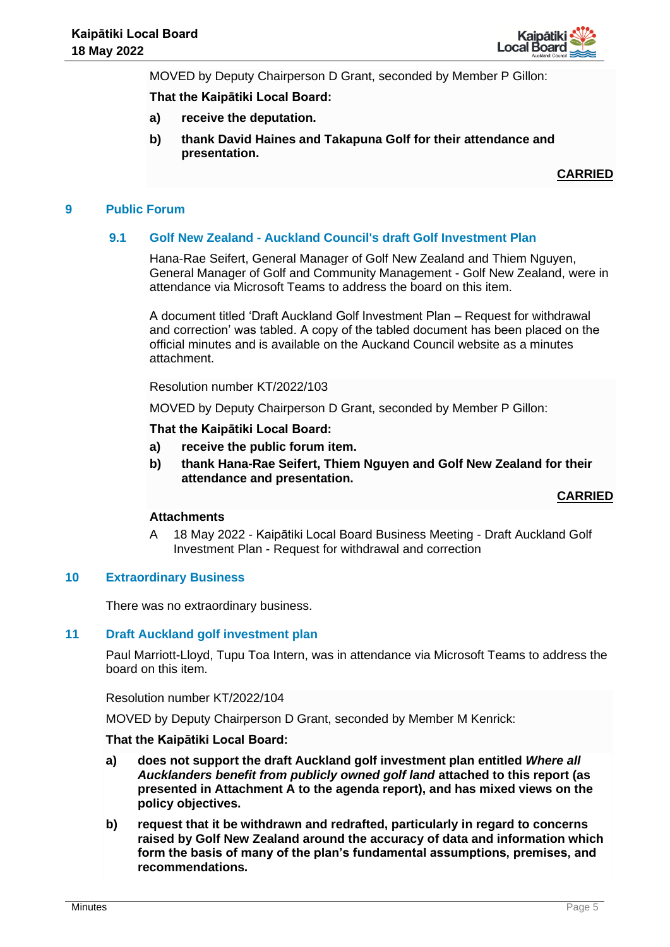

MOVED by Deputy Chairperson D Grant, seconded by Member P Gillon:

## **That the Kaipātiki Local Board:**

- **a) receive the deputation.**
- **b) thank David Haines and Takapuna Golf for their attendance and presentation.**

**CARRIED**

#### **9 Public Forum**

## **9.1 Golf New Zealand - Auckland Council's draft Golf Investment Plan**

Hana-Rae Seifert, General Manager of Golf New Zealand and Thiem Nguyen, General Manager of Golf and Community Management - Golf New Zealand, were in attendance via Microsoft Teams to address the board on this item.

A document titled 'Draft Auckland Golf Investment Plan – Request for withdrawal and correction' was tabled. A copy of the tabled document has been placed on the official minutes and is available on the Auckand Council website as a minutes attachment.

Resolution number KT/2022/103

MOVED by Deputy Chairperson D Grant, seconded by Member P Gillon:

#### **That the Kaipātiki Local Board:**

- **a) receive the public forum item.**
- **b) thank Hana-Rae Seifert, Thiem Nguyen and Golf New Zealand for their attendance and presentation.**

**CARRIED**

## **Attachments**

A 18 May 2022 - Kaipātiki Local Board Business Meeting - Draft Auckland Golf Investment Plan - Request for withdrawal and correction

#### **10 Extraordinary Business**

There was no extraordinary business.

#### **11 Draft Auckland golf investment plan**

Paul Marriott-Lloyd, Tupu Toa Intern, was in attendance via Microsoft Teams to address the board on this item.

Resolution number KT/2022/104

MOVED by Deputy Chairperson D Grant, seconded by Member M Kenrick:

#### **That the Kaipātiki Local Board:**

- **a) does not support the draft Auckland golf investment plan entitled** *Where all Aucklanders benefit from publicly owned golf land* **attached to this report (as presented in Attachment A to the agenda report), and has mixed views on the policy objectives.**
- **b) request that it be withdrawn and redrafted, particularly in regard to concerns raised by Golf New Zealand around the accuracy of data and information which form the basis of many of the plan's fundamental assumptions, premises, and recommendations.**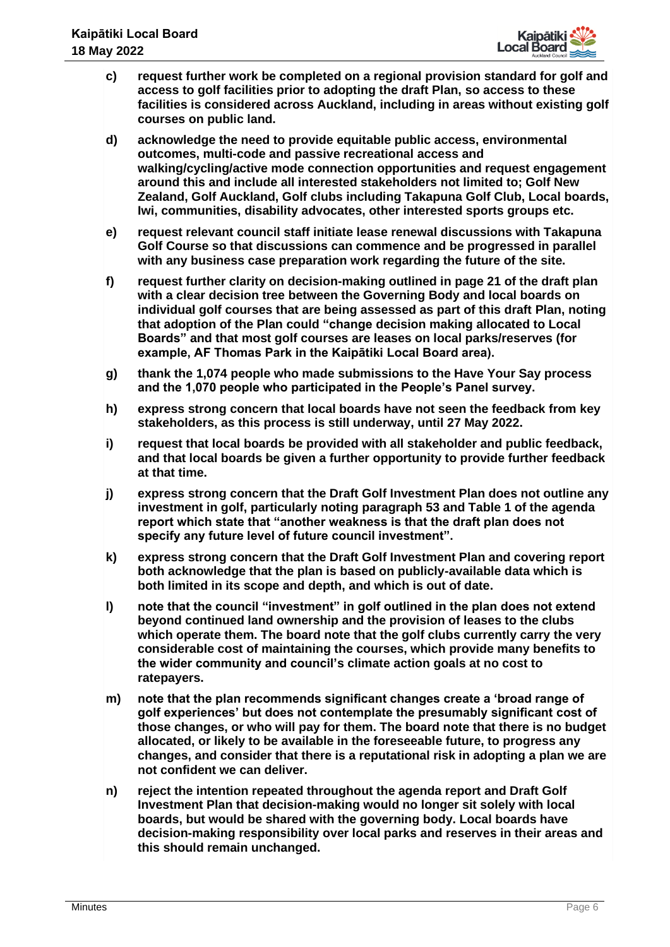

- **c) request further work be completed on a regional provision standard for golf and access to golf facilities prior to adopting the draft Plan, so access to these facilities is considered across Auckland, including in areas without existing golf courses on public land.**
- **d) acknowledge the need to provide equitable public access, environmental outcomes, multi-code and passive recreational access and walking/cycling/active mode connection opportunities and request engagement around this and include all interested stakeholders not limited to; Golf New Zealand, Golf Auckland, Golf clubs including Takapuna Golf Club, Local boards, Iwi, communities, disability advocates, other interested sports groups etc.**
- **e) request relevant council staff initiate lease renewal discussions with Takapuna Golf Course so that discussions can commence and be progressed in parallel with any business case preparation work regarding the future of the site.**
- **f) request further clarity on decision-making outlined in page 21 of the draft plan with a clear decision tree between the Governing Body and local boards on individual golf courses that are being assessed as part of this draft Plan, noting that adoption of the Plan could "change decision making allocated to Local Boards" and that most golf courses are leases on local parks/reserves (for example, AF Thomas Park in the Kaipātiki Local Board area).**
- **g) thank the 1,074 people who made submissions to the Have Your Say process and the 1,070 people who participated in the People's Panel survey.**
- **h) express strong concern that local boards have not seen the feedback from key stakeholders, as this process is still underway, until 27 May 2022.**
- **i) request that local boards be provided with all stakeholder and public feedback, and that local boards be given a further opportunity to provide further feedback at that time.**
- **j) express strong concern that the Draft Golf Investment Plan does not outline any investment in golf, particularly noting paragraph 53 and Table 1 of the agenda report which state that "another weakness is that the draft plan does not specify any future level of future council investment".**
- **k) express strong concern that the Draft Golf Investment Plan and covering report both acknowledge that the plan is based on publicly-available data which is both limited in its scope and depth, and which is out of date.**
- **l) note that the council "investment" in golf outlined in the plan does not extend beyond continued land ownership and the provision of leases to the clubs which operate them. The board note that the golf clubs currently carry the very considerable cost of maintaining the courses, which provide many benefits to the wider community and council's climate action goals at no cost to ratepayers.**
- **m) note that the plan recommends significant changes create a 'broad range of golf experiences' but does not contemplate the presumably significant cost of those changes, or who will pay for them. The board note that there is no budget allocated, or likely to be available in the foreseeable future, to progress any changes, and consider that there is a reputational risk in adopting a plan we are not confident we can deliver.**
- **n) reject the intention repeated throughout the agenda report and Draft Golf Investment Plan that decision-making would no longer sit solely with local boards, but would be shared with the governing body. Local boards have decision-making responsibility over local parks and reserves in their areas and this should remain unchanged.**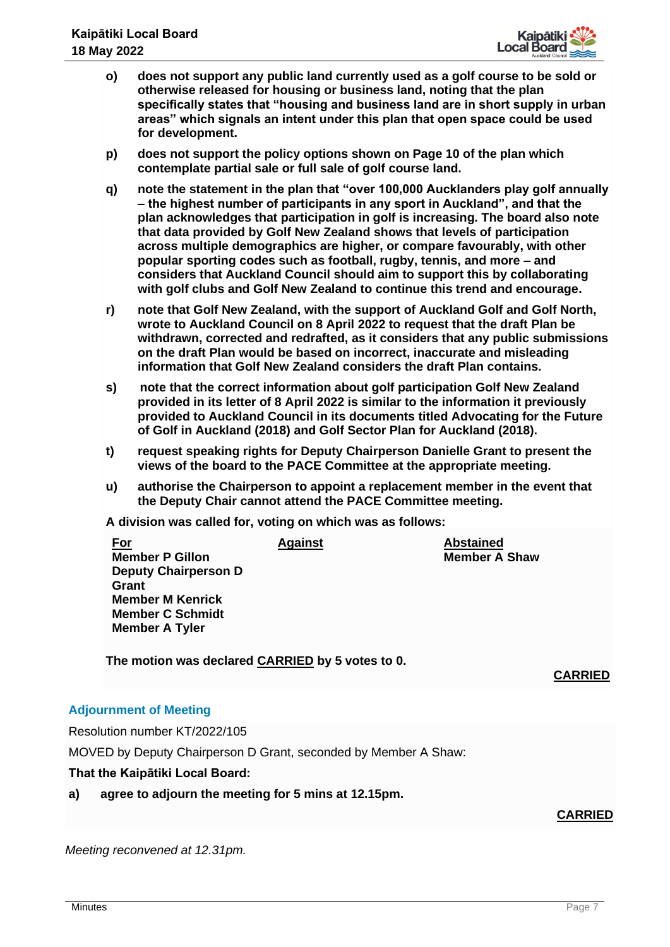

- **o) does not support any public land currently used as a golf course to be sold or otherwise released for housing or business land, noting that the plan specifically states that "housing and business land are in short supply in urban areas" which signals an intent under this plan that open space could be used for development.**
- **p) does not support the policy options shown on Page 10 of the plan which contemplate partial sale or full sale of golf course land.**
- **q) note the statement in the plan that "over 100,000 Aucklanders play golf annually – the highest number of participants in any sport in Auckland", and that the plan acknowledges that participation in golf is increasing. The board also note that data provided by Golf New Zealand shows that levels of participation across multiple demographics are higher, or compare favourably, with other popular sporting codes such as football, rugby, tennis, and more – and considers that Auckland Council should aim to support this by collaborating with golf clubs and Golf New Zealand to continue this trend and encourage.**
- **r) note that Golf New Zealand, with the support of Auckland Golf and Golf North, wrote to Auckland Council on 8 April 2022 to request that the draft Plan be withdrawn, corrected and redrafted, as it considers that any public submissions on the draft Plan would be based on incorrect, inaccurate and misleading information that Golf New Zealand considers the draft Plan contains.**
- **s) note that the correct information about golf participation Golf New Zealand provided in its letter of 8 April 2022 is similar to the information it previously provided to Auckland Council in its documents titled Advocating for the Future of Golf in Auckland (2018) and Golf Sector Plan for Auckland (2018).**
- **t) request speaking rights for Deputy Chairperson Danielle Grant to present the views of the board to the PACE Committee at the appropriate meeting.**
- **u) authorise the Chairperson to appoint a replacement member in the event that the Deputy Chair cannot attend the PACE Committee meeting.**

**A division was called for, voting on which was as follows:**

| <u>For</u>                  | <b>Against</b> | <b>Abstained</b>     |
|-----------------------------|----------------|----------------------|
| <b>Member P Gillon</b>      |                | <b>Member A Shaw</b> |
| <b>Deputy Chairperson D</b> |                |                      |
| Grant                       |                |                      |
| <b>Member M Kenrick</b>     |                |                      |
| <b>Member C Schmidt</b>     |                |                      |
| <b>Member A Tyler</b>       |                |                      |
|                             |                |                      |

**The motion was declared CARRIED by 5 votes to 0.**

# **CARRIED**

# **Adjournment of Meeting**

Resolution number KT/2022/105

MOVED by Deputy Chairperson D Grant, seconded by Member A Shaw:

# **That the Kaipātiki Local Board:**

**a) agree to adjourn the meeting for 5 mins at 12.15pm.**

# **CARRIED**

*Meeting reconvened at 12.31pm.*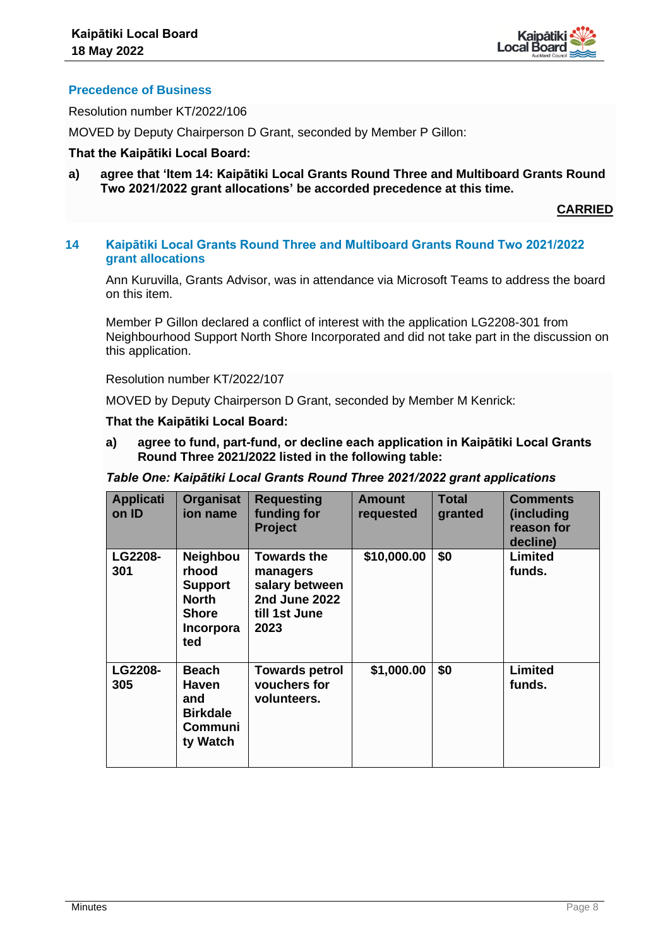

# **Precedence of Business**

Resolution number KT/2022/106

MOVED by Deputy Chairperson D Grant, seconded by Member P Gillon:

## **That the Kaipātiki Local Board:**

**a) agree that 'Item 14: Kaipātiki Local Grants Round Three and Multiboard Grants Round Two 2021/2022 grant allocations' be accorded precedence at this time.**

**CARRIED**

## **14 Kaipātiki Local Grants Round Three and Multiboard Grants Round Two 2021/2022 grant allocations**

Ann Kuruvilla, Grants Advisor, was in attendance via Microsoft Teams to address the board on this item.

Member P Gillon declared a conflict of interest with the application LG2208-301 from Neighbourhood Support North Shore Incorporated and did not take part in the discussion on this application.

Resolution number KT/2022/107

MOVED by Deputy Chairperson D Grant, seconded by Member M Kenrick:

# **That the Kaipātiki Local Board:**

**a) agree to fund, part-fund, or decline each application in Kaipātiki Local Grants Round Three 2021/2022 listed in the following table:** 

|  |  | Table One: Kaipātiki Local Grants Round Three 2021/2022 grant applications |  |  |  |
|--|--|----------------------------------------------------------------------------|--|--|--|
|--|--|----------------------------------------------------------------------------|--|--|--|

| <b>Applicati</b><br>on ID | <b>Organisat</b><br>ion name                                                                          | <b>Requesting</b><br>funding for<br><b>Project</b>                                                | <b>Amount</b><br>requested | <b>Total</b><br>granted | <b>Comments</b><br>(including<br>reason for<br>decline) |
|---------------------------|-------------------------------------------------------------------------------------------------------|---------------------------------------------------------------------------------------------------|----------------------------|-------------------------|---------------------------------------------------------|
| LG2208-<br>301            | <b>Neighbou</b><br>rhood<br><b>Support</b><br><b>North</b><br><b>Shore</b><br><b>Incorpora</b><br>ted | <b>Towards the</b><br>managers<br>salary between<br><b>2nd June 2022</b><br>till 1st June<br>2023 | \$10,000.00                | \$0                     | Limited<br>funds.                                       |
| LG2208-<br>305            | Beach<br><b>Haven</b><br>and<br><b>Birkdale</b><br>Communi<br>ty Watch                                | <b>Towards petrol</b><br>vouchers for<br>volunteers.                                              | \$1,000.00                 | \$0                     | Limited<br>funds.                                       |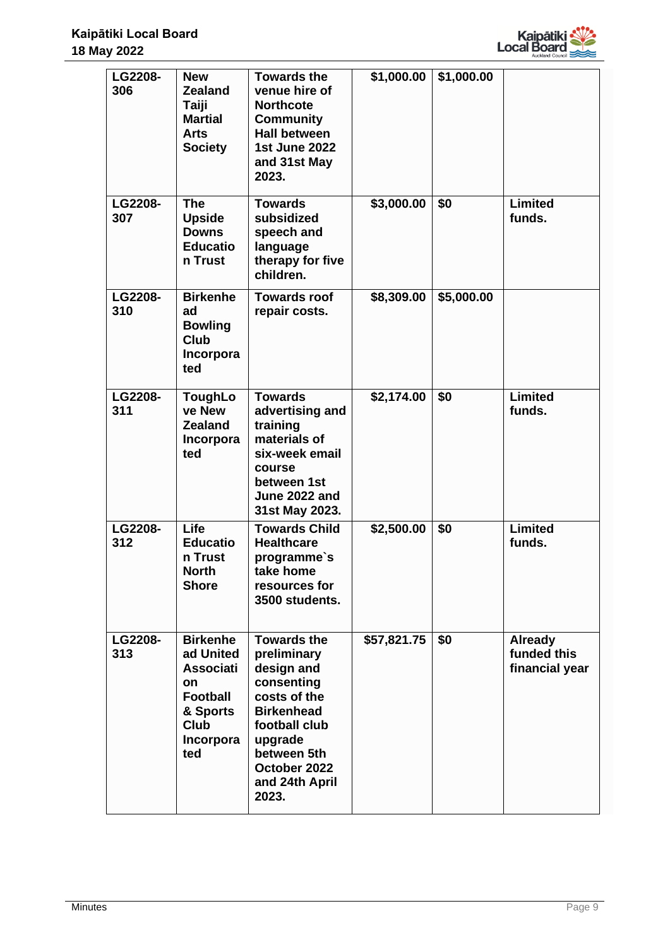

| LG2208-<br>306        | <b>New</b><br><b>Zealand</b><br>Taiji<br><b>Martial</b><br><b>Arts</b><br><b>Society</b>                                 | <b>Towards the</b><br>venue hire of<br><b>Northcote</b><br><b>Community</b><br><b>Hall between</b><br><b>1st June 2022</b><br>and 31st May<br>2023.                                      | \$1,000.00  | \$1,000.00 |                                                 |
|-----------------------|--------------------------------------------------------------------------------------------------------------------------|------------------------------------------------------------------------------------------------------------------------------------------------------------------------------------------|-------------|------------|-------------------------------------------------|
| LG2208-<br>307        | <b>The</b><br><b>Upside</b><br><b>Downs</b><br><b>Educatio</b><br>n Trust                                                | <b>Towards</b><br>subsidized<br>speech and<br>language<br>therapy for five<br>children.                                                                                                  | \$3,000.00  | \$0        | <b>Limited</b><br>funds.                        |
| <b>LG2208-</b><br>310 | <b>Birkenhe</b><br>ad<br><b>Bowling</b><br><b>Club</b><br>Incorpora<br>ted                                               | <b>Towards roof</b><br>repair costs.                                                                                                                                                     | \$8,309.00  | \$5,000.00 |                                                 |
| <b>LG2208-</b><br>311 | <b>ToughLo</b><br>ve New<br><b>Zealand</b><br>Incorpora<br>ted                                                           | <b>Towards</b><br>advertising and<br>training<br>materials of<br>six-week email<br>course<br>between 1st<br>June 2022 and<br>31st May 2023.                                              | \$2,174.00  | \$0        | <b>Limited</b><br>funds.                        |
| LG2208-<br>312        | Life<br><b>Educatio</b><br>n Trust<br><b>North</b><br><b>Shore</b>                                                       | <b>Towards Child</b><br><b>Healthcare</b><br>programme's<br>take home<br>resources for<br>3500 students.                                                                                 | \$2,500.00  | \$0        | <b>Limited</b><br>funds.                        |
| LG2208-<br>313        | <b>Birkenhe</b><br>ad United<br><b>Associati</b><br>on<br><b>Football</b><br>& Sports<br><b>Club</b><br>Incorpora<br>ted | <b>Towards the</b><br>preliminary<br>design and<br>consenting<br>costs of the<br><b>Birkenhead</b><br>football club<br>upgrade<br>between 5th<br>October 2022<br>and 24th April<br>2023. | \$57,821.75 | \$0        | <b>Already</b><br>funded this<br>financial year |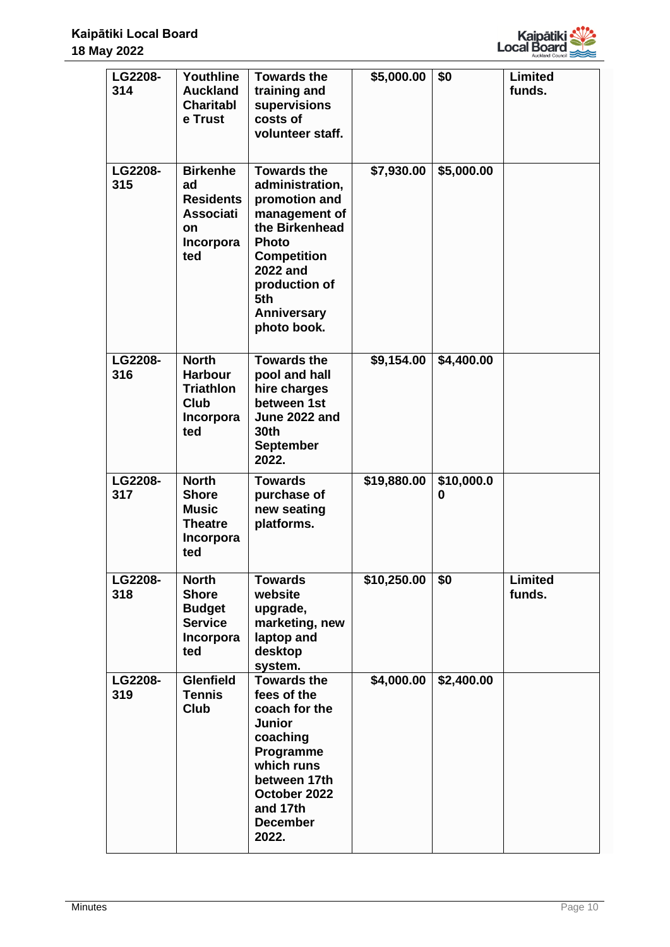

| LG2208-<br>314        | Youthline<br><b>Auckland</b><br><b>Charitabl</b><br>e Trust                             | <b>Towards the</b><br>training and<br>supervisions<br>costs of<br>volunteer staff.                                                                                                                       | \$5,000.00  | \$0             | <b>Limited</b><br>funds. |
|-----------------------|-----------------------------------------------------------------------------------------|----------------------------------------------------------------------------------------------------------------------------------------------------------------------------------------------------------|-------------|-----------------|--------------------------|
| LG2208-<br>315        | <b>Birkenhe</b><br>ad<br><b>Residents</b><br><b>Associati</b><br>on<br>Incorpora<br>ted | <b>Towards the</b><br>administration,<br>promotion and<br>management of<br>the Birkenhead<br><b>Photo</b><br><b>Competition</b><br><b>2022 and</b><br>production of<br>5th<br>Anniversary<br>photo book. | \$7,930.00  | \$5,000.00      |                          |
| LG2208-<br>316        | <b>North</b><br><b>Harbour</b><br><b>Triathlon</b><br><b>Club</b><br>Incorpora<br>ted   | <b>Towards the</b><br>pool and hall<br>hire charges<br>between 1st<br>June 2022 and<br><b>30th</b><br><b>September</b><br>2022.                                                                          | \$9,154.00  | \$4,400.00      |                          |
| LG2208-<br>317        | <b>North</b><br><b>Shore</b><br><b>Music</b><br><b>Theatre</b><br>Incorpora<br>ted      | <b>Towards</b><br>purchase of<br>new seating<br>platforms.                                                                                                                                               | \$19,880.00 | \$10,000.0<br>0 |                          |
| LG2208-<br>318        | <b>North</b><br><b>Shore</b><br><b>Budget</b><br><b>Service</b><br>Incorpora<br>ted     | <b>Towards</b><br>website<br>upgrade,<br>marketing, new<br>laptop and<br>desktop<br>system.                                                                                                              | \$10,250.00 | \$0             | <b>Limited</b><br>funds. |
| <b>LG2208-</b><br>319 | <b>Glenfield</b><br><b>Tennis</b><br><b>Club</b>                                        | <b>Towards the</b><br>fees of the<br>coach for the<br><b>Junior</b><br>coaching<br>Programme<br>which runs<br>between 17th<br>October 2022<br>and 17th<br><b>December</b><br>2022.                       | \$4,000.00  | \$2,400.00      |                          |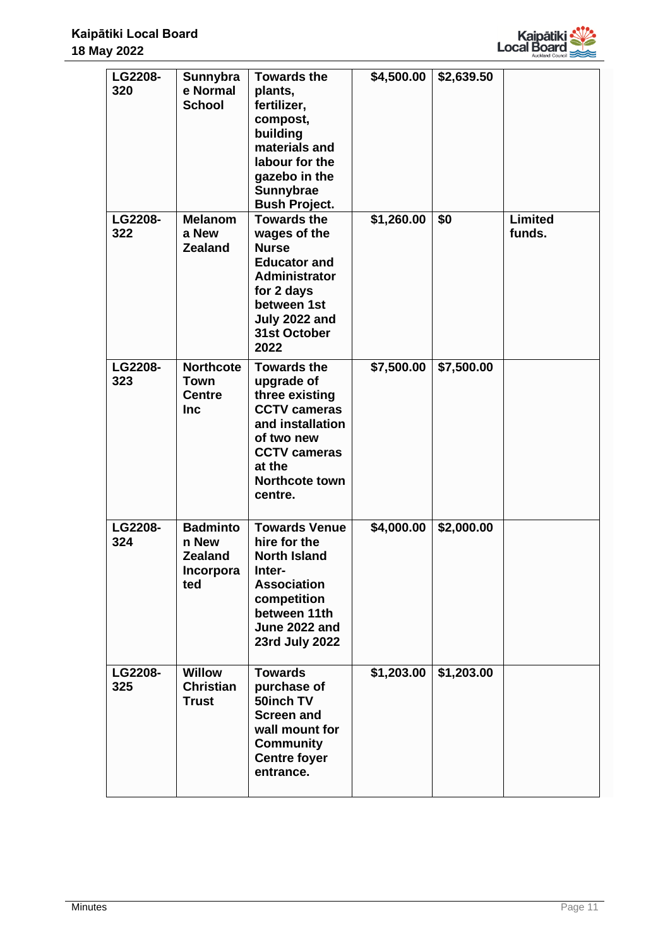

| LG2208-<br>320        | Sunnybra<br>e Normal<br><b>School</b>                          | <b>Towards the</b><br>plants,<br>fertilizer,<br>compost,<br>building<br>materials and<br>labour for the<br>gazebo in the<br>Sunnybrae<br><b>Bush Project.</b>             | \$4,500.00 | \$2,639.50 |                          |
|-----------------------|----------------------------------------------------------------|---------------------------------------------------------------------------------------------------------------------------------------------------------------------------|------------|------------|--------------------------|
| <b>LG2208-</b><br>322 | <b>Melanom</b><br>a New<br><b>Zealand</b>                      | <b>Towards the</b><br>wages of the<br><b>Nurse</b><br><b>Educator and</b><br><b>Administrator</b><br>for 2 days<br>between 1st<br>July 2022 and<br>31st October<br>2022   | \$1,260.00 | \$0        | <b>Limited</b><br>funds. |
| LG2208-<br>323        | <b>Northcote</b><br><b>Town</b><br><b>Centre</b><br><b>Inc</b> | <b>Towards the</b><br>upgrade of<br>three existing<br><b>CCTV cameras</b><br>and installation<br>of two new<br><b>CCTV cameras</b><br>at the<br>Northcote town<br>centre. | \$7,500.00 | \$7,500.00 |                          |
| LG2208-<br>324        | <b>Badminto</b><br>n New<br><b>Zealand</b><br>Incorpora<br>ted | <b>Towards Venue</b><br>hire for the<br><b>North Island</b><br>Inter-<br><b>Association</b><br>competition<br>between 11th<br>June 2022 and<br>23rd July 2022             | \$4,000.00 | \$2,000.00 |                          |
| <b>LG2208-</b><br>325 | <b>Willow</b><br><b>Christian</b><br><b>Trust</b>              | <b>Towards</b><br>purchase of<br>50inch TV<br><b>Screen and</b><br>wall mount for<br><b>Community</b><br><b>Centre foyer</b><br>entrance.                                 | \$1,203.00 | \$1,203.00 |                          |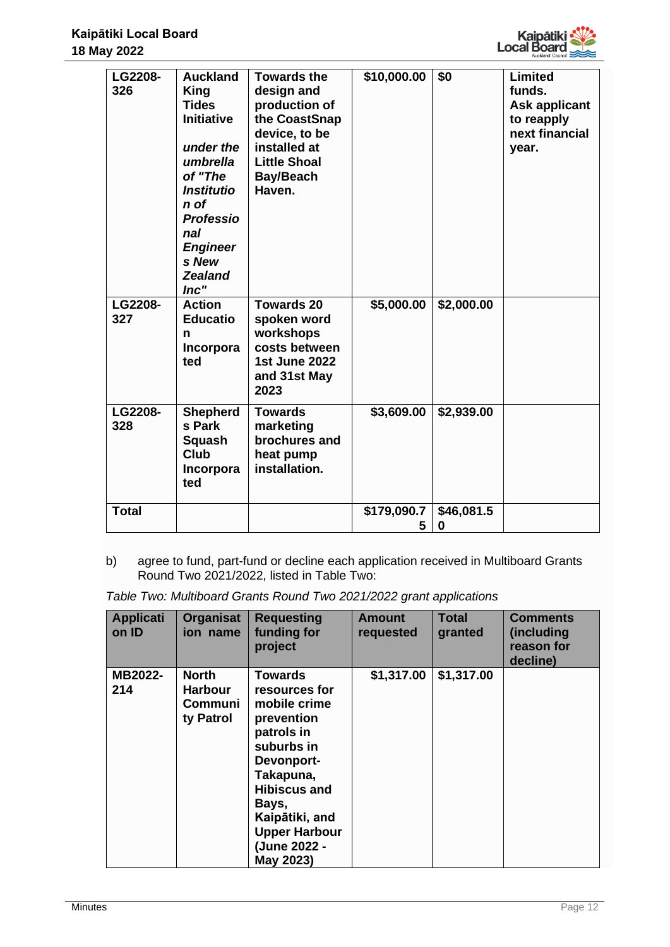

| LG2208-<br>326        | <b>Auckland</b><br>King<br><b>Tides</b><br><b>Initiative</b><br>under the<br>umbrella<br>of "The<br><b>Institutio</b><br>n of<br><b>Professio</b><br>nal<br><b>Engineer</b><br>s New<br><b>Zealand</b><br>Inc" | <b>Towards the</b><br>design and<br>production of<br>the CoastSnap<br>device, to be<br>installed at<br><b>Little Shoal</b><br><b>Bay/Beach</b><br>Haven. | \$10,000.00      | \$0             | <b>Limited</b><br>funds.<br><b>Ask applicant</b><br>to reapply<br>next financial<br>year. |
|-----------------------|----------------------------------------------------------------------------------------------------------------------------------------------------------------------------------------------------------------|----------------------------------------------------------------------------------------------------------------------------------------------------------|------------------|-----------------|-------------------------------------------------------------------------------------------|
| LG2208-<br>327        | <b>Action</b><br><b>Educatio</b><br>n<br>Incorpora<br>ted                                                                                                                                                      | <b>Towards 20</b><br>spoken word<br>workshops<br>costs between<br><b>1st June 2022</b><br>and 31st May<br>2023                                           | \$5,000.00       | \$2,000.00      |                                                                                           |
| <b>LG2208-</b><br>328 | <b>Shepherd</b><br>s Park<br>Squash<br>Club<br>Incorpora<br>ted                                                                                                                                                | <b>Towards</b><br>marketing<br>brochures and<br>heat pump<br>installation.                                                                               | \$3,609.00       | \$2,939.00      |                                                                                           |
| <b>Total</b>          |                                                                                                                                                                                                                |                                                                                                                                                          | \$179,090.7<br>5 | \$46,081.5<br>0 |                                                                                           |

b) agree to fund, part-fund or decline each application received in Multiboard Grants Round Two 2021/2022, listed in Table Two:

*Table Two: Multiboard Grants Round Two 2021/2022 grant applications*

| <b>Applicati</b><br>on ID | <b>Organisat</b><br>ion name                                  | <b>Requesting</b><br>funding for<br>project                                                                                                                                                                          | <b>Amount</b><br>requested | <b>Total</b><br>granted | <b>Comments</b><br>(including<br>reason for<br>decline) |
|---------------------------|---------------------------------------------------------------|----------------------------------------------------------------------------------------------------------------------------------------------------------------------------------------------------------------------|----------------------------|-------------------------|---------------------------------------------------------|
| MB2022-<br>214            | <b>North</b><br><b>Harbour</b><br><b>Communi</b><br>ty Patrol | Towards<br>resources for<br>mobile crime<br>prevention<br>patrols in<br>suburbs in<br>Devonport-<br>Takapuna,<br><b>Hibiscus and</b><br>Bays,<br>Kaipātiki, and<br><b>Upper Harbour</b><br>(June 2022 -<br>May 2023) | \$1,317.00                 | \$1,317.00              |                                                         |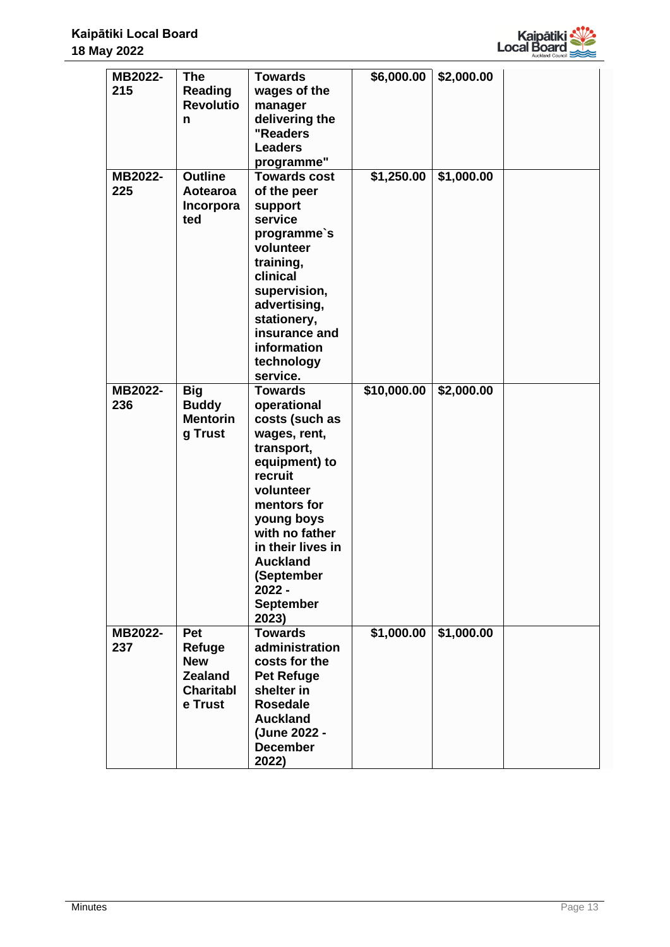

| MB2022- | <b>The</b>           | <b>Towards</b>          | \$6,000.00  | \$2,000.00 |  |
|---------|----------------------|-------------------------|-------------|------------|--|
| 215     | <b>Reading</b>       | wages of the            |             |            |  |
|         | <b>Revolutio</b>     |                         |             |            |  |
|         |                      | manager                 |             |            |  |
|         | n                    | delivering the          |             |            |  |
|         |                      | "Readers                |             |            |  |
|         |                      | <b>Leaders</b>          |             |            |  |
|         |                      | programme"              |             |            |  |
| MB2022- | <b>Outline</b>       | <b>Towards cost</b>     | \$1,250.00  | \$1,000.00 |  |
| 225     | Aotearoa             | of the peer             |             |            |  |
|         | Incorpora            | support                 |             |            |  |
|         | ted                  | service                 |             |            |  |
|         |                      | programme's             |             |            |  |
|         |                      | volunteer               |             |            |  |
|         |                      | training,               |             |            |  |
|         |                      | clinical                |             |            |  |
|         |                      | supervision,            |             |            |  |
|         |                      | advertising,            |             |            |  |
|         |                      | stationery,             |             |            |  |
|         |                      | insurance and           |             |            |  |
|         |                      | information             |             |            |  |
|         |                      | technology              |             |            |  |
|         |                      | service.                |             |            |  |
| MB2022- | <b>Big</b>           | <b>Towards</b>          | \$10,000.00 | \$2,000.00 |  |
| 236     | <b>Buddy</b>         | operational             |             |            |  |
|         | <b>Mentorin</b>      | costs (such as          |             |            |  |
|         | g Trust              | wages, rent,            |             |            |  |
|         |                      | transport,              |             |            |  |
|         |                      | equipment) to           |             |            |  |
|         |                      | recruit                 |             |            |  |
|         |                      | volunteer               |             |            |  |
|         |                      | mentors for             |             |            |  |
|         |                      | young boys              |             |            |  |
|         |                      | with no father          |             |            |  |
|         |                      | in their lives in       |             |            |  |
|         |                      | <b>Auckland</b>         |             |            |  |
|         |                      | (September              |             |            |  |
|         |                      | 2022 -                  |             |            |  |
|         |                      | <b>September</b>        |             |            |  |
|         |                      |                         |             |            |  |
| MB2022- | Pet                  | 2023)<br><b>Towards</b> | \$1,000.00  |            |  |
| 237     |                      | administration          |             | \$1,000.00 |  |
|         | Refuge<br><b>New</b> | costs for the           |             |            |  |
|         |                      |                         |             |            |  |
|         | <b>Zealand</b>       | <b>Pet Refuge</b>       |             |            |  |
|         | <b>Charitabl</b>     | shelter in              |             |            |  |
|         | e Trust              | <b>Rosedale</b>         |             |            |  |
|         |                      | <b>Auckland</b>         |             |            |  |
|         |                      | (June 2022 -            |             |            |  |
|         |                      | <b>December</b>         |             |            |  |
|         |                      | 2022)                   |             |            |  |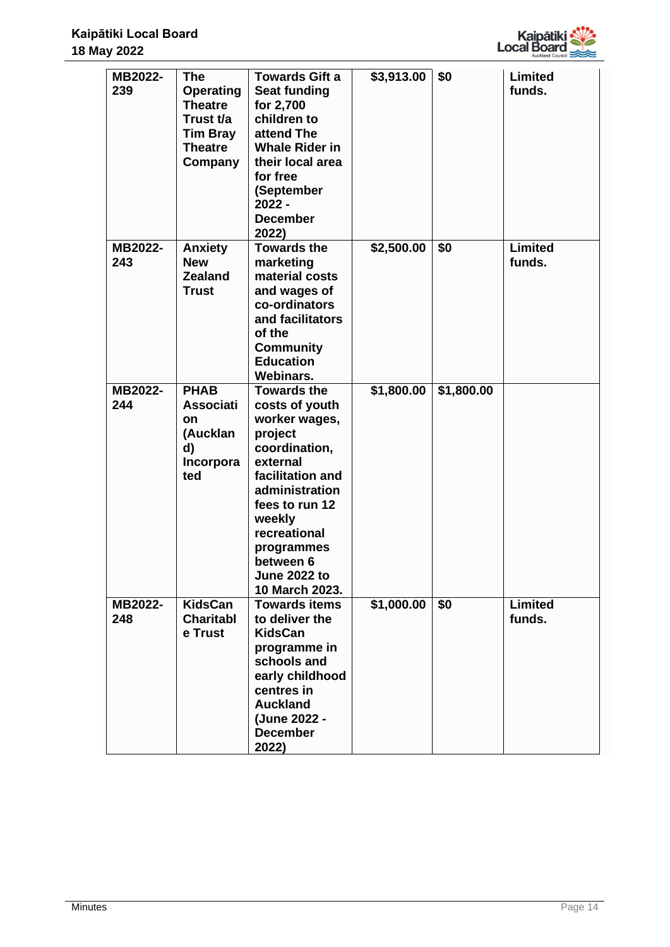

| MB2022-<br>239 | <b>The</b><br><b>Operating</b><br><b>Theatre</b><br>Trust t/a<br><b>Tim Bray</b><br><b>Theatre</b><br>Company | <b>Towards Gift a</b><br><b>Seat funding</b><br>for 2,700<br>children to<br>attend The<br><b>Whale Rider in</b><br>their local area<br>for free<br>(September<br>2022 -<br><b>December</b><br>2022)                                                 | \$3,913.00 | \$0        | <b>Limited</b><br>funds. |
|----------------|---------------------------------------------------------------------------------------------------------------|-----------------------------------------------------------------------------------------------------------------------------------------------------------------------------------------------------------------------------------------------------|------------|------------|--------------------------|
| MB2022-<br>243 | <b>Anxiety</b><br><b>New</b><br><b>Zealand</b><br><b>Trust</b>                                                | <b>Towards the</b><br>marketing<br>material costs<br>and wages of<br>co-ordinators<br>and facilitators<br>of the<br><b>Community</b><br><b>Education</b><br>Webinars.                                                                               | \$2,500.00 | \$0        | <b>Limited</b><br>funds. |
| MB2022-<br>244 | <b>PHAB</b><br><b>Associati</b><br><b>on</b><br>(Aucklan<br>d)<br>Incorpora<br>ted                            | <b>Towards the</b><br>costs of youth<br>worker wages,<br>project<br>coordination,<br>external<br>facilitation and<br>administration<br>fees to run 12<br>weekly<br>recreational<br>programmes<br>between 6<br><b>June 2022 to</b><br>10 March 2023. | \$1,800.00 | \$1,800.00 |                          |
| MB2022-<br>248 | <b>KidsCan</b><br><b>Charitabl</b><br>e Trust                                                                 | <b>Towards items</b><br>to deliver the<br><b>KidsCan</b><br>programme in<br>schools and<br>early childhood<br>centres in<br><b>Auckland</b><br>(June 2022 -<br><b>December</b><br>2022)                                                             | \$1,000.00 | \$0        | Limited<br>funds.        |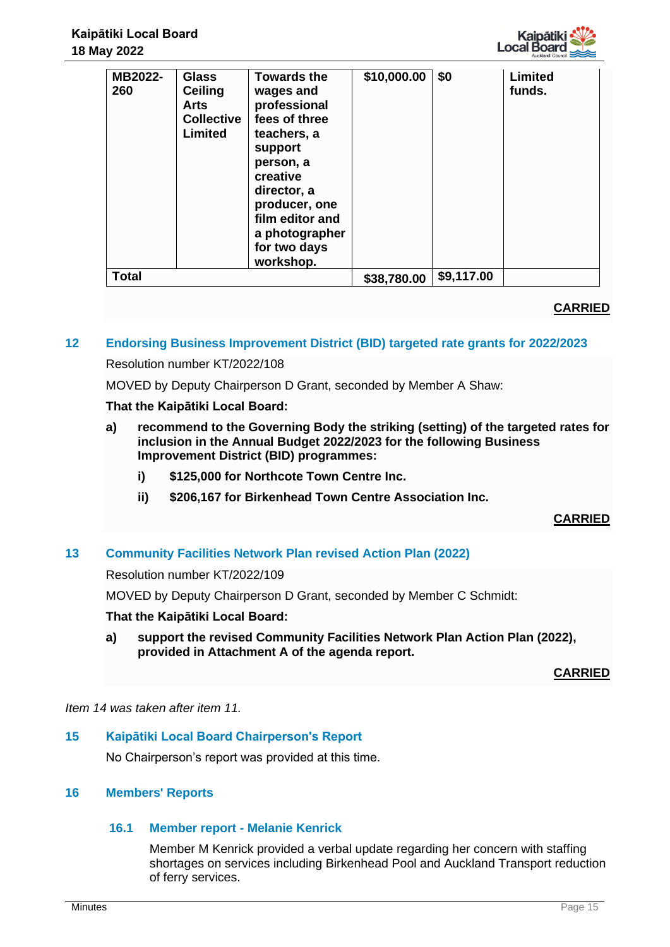

| MB2022-<br>260 | <b>Glass</b><br><b>Ceiling</b><br><b>Arts</b><br><b>Collective</b><br><b>Limited</b> | <b>Towards the</b><br>wages and<br>professional<br>fees of three<br>teachers, a<br>support<br>person, a<br>creative<br>director, a<br>producer, one<br>film editor and<br>a photographer<br>for two days<br>workshop. | \$10,000.00 | \$0        | Limited<br>funds. |
|----------------|--------------------------------------------------------------------------------------|-----------------------------------------------------------------------------------------------------------------------------------------------------------------------------------------------------------------------|-------------|------------|-------------------|
| <b>Total</b>   |                                                                                      |                                                                                                                                                                                                                       | \$38,780.00 | \$9,117.00 |                   |

# **CARRIED**

# **12 Endorsing Business Improvement District (BID) targeted rate grants for 2022/2023**

## Resolution number KT/2022/108

MOVED by Deputy Chairperson D Grant, seconded by Member A Shaw:

## **That the Kaipātiki Local Board:**

- **a) recommend to the Governing Body the striking (setting) of the targeted rates for inclusion in the Annual Budget 2022/2023 for the following Business Improvement District (BID) programmes:**
	- **i) \$125,000 for Northcote Town Centre Inc.**
	- **ii) \$206,167 for Birkenhead Town Centre Association Inc.**

# **CARRIED**

# **13 Community Facilities Network Plan revised Action Plan (2022)**

Resolution number KT/2022/109

MOVED by Deputy Chairperson D Grant, seconded by Member C Schmidt:

## **That the Kaipātiki Local Board:**

**a) support the revised Community Facilities Network Plan Action Plan (2022), provided in Attachment A of the agenda report.** 

**CARRIED**

*Item 14 was taken after item 11.* 

## **15 Kaipātiki Local Board Chairperson's Report**

No Chairperson's report was provided at this time.

## **16 Members' Reports**

# **16.1 Member report - Melanie Kenrick**

Member M Kenrick provided a verbal update regarding her concern with staffing shortages on services including Birkenhead Pool and Auckland Transport reduction of ferry services.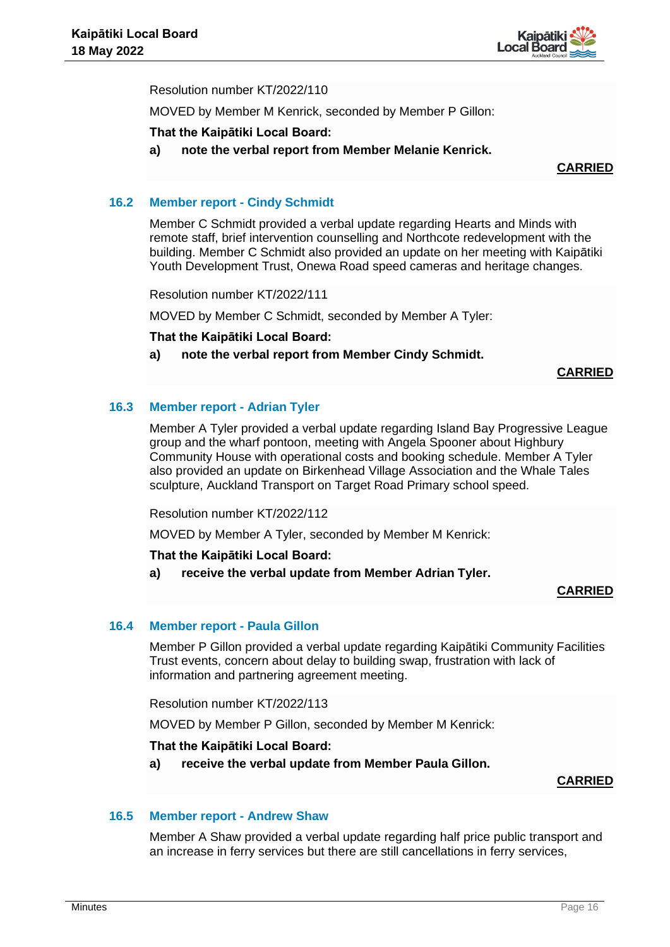

Resolution number KT/2022/110

MOVED by Member M Kenrick, seconded by Member P Gillon:

## **That the Kaipātiki Local Board:**

**a) note the verbal report from Member Melanie Kenrick.** 

## **CARRIED**

## **16.2 Member report - Cindy Schmidt**

Member C Schmidt provided a verbal update regarding Hearts and Minds with remote staff, brief intervention counselling and Northcote redevelopment with the building. Member C Schmidt also provided an update on her meeting with Kaipātiki Youth Development Trust, Onewa Road speed cameras and heritage changes.

Resolution number KT/2022/111

MOVED by Member C Schmidt, seconded by Member A Tyler:

**That the Kaipātiki Local Board:**

**a) note the verbal report from Member Cindy Schmidt.** 

## **CARRIED**

## **16.3 Member report - Adrian Tyler**

Member A Tyler provided a verbal update regarding Island Bay Progressive League group and the wharf pontoon, meeting with Angela Spooner about Highbury Community House with operational costs and booking schedule. Member A Tyler also provided an update on Birkenhead Village Association and the Whale Tales sculpture, Auckland Transport on Target Road Primary school speed.

Resolution number KT/2022/112

MOVED by Member A Tyler, seconded by Member M Kenrick:

## **That the Kaipātiki Local Board:**

**a) receive the verbal update from Member Adrian Tyler.** 

# **CARRIED**

# **16.4 Member report - Paula Gillon**

Member P Gillon provided a verbal update regarding Kaipātiki Community Facilities Trust events, concern about delay to building swap, frustration with lack of information and partnering agreement meeting.

Resolution number KT/2022/113

MOVED by Member P Gillon, seconded by Member M Kenrick:

## **That the Kaipātiki Local Board:**

**a) receive the verbal update from Member Paula Gillon.** 

## **CARRIED**

## **16.5 Member report - Andrew Shaw**

Member A Shaw provided a verbal update regarding half price public transport and an increase in ferry services but there are still cancellations in ferry services,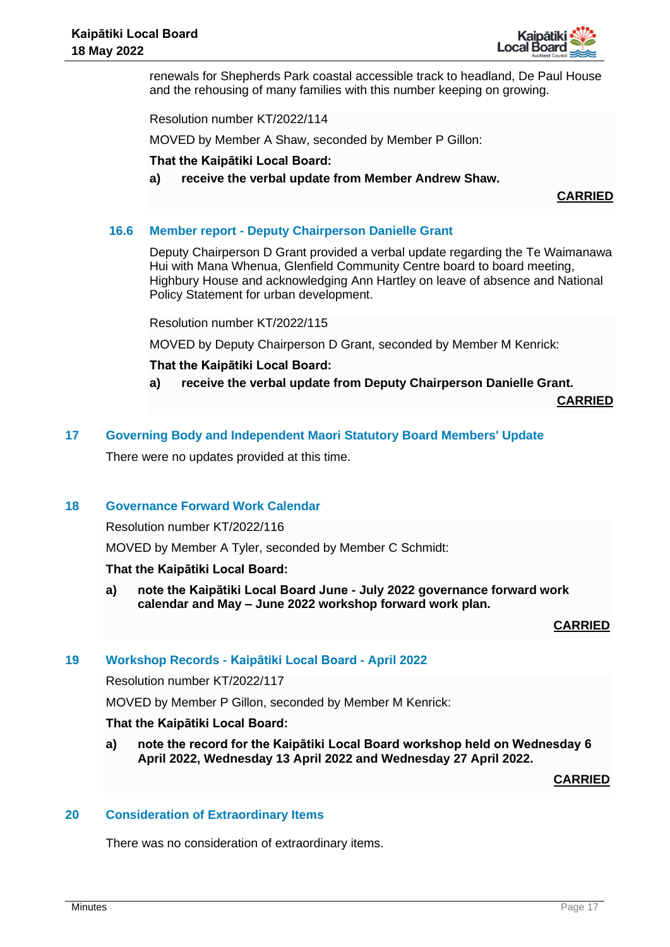

renewals for Shepherds Park coastal accessible track to headland, De Paul House and the rehousing of many families with this number keeping on growing.

Resolution number KT/2022/114

MOVED by Member A Shaw, seconded by Member P Gillon:

#### **That the Kaipātiki Local Board:**

**a) receive the verbal update from Member Andrew Shaw.** 

**CARRIED**

## **16.6 Member report - Deputy Chairperson Danielle Grant**

Deputy Chairperson D Grant provided a verbal update regarding the Te Waimanawa Hui with Mana Whenua, Glenfield Community Centre board to board meeting, Highbury House and acknowledging Ann Hartley on leave of absence and National Policy Statement for urban development.

Resolution number KT/2022/115

MOVED by Deputy Chairperson D Grant, seconded by Member M Kenrick:

#### **That the Kaipātiki Local Board:**

**a) receive the verbal update from Deputy Chairperson Danielle Grant.** 

**CARRIED**

#### **17 Governing Body and Independent Maori Statutory Board Members' Update**

There were no updates provided at this time.

## **18 Governance Forward Work Calendar**

Resolution number KT/2022/116

MOVED by Member A Tyler, seconded by Member C Schmidt:

#### **That the Kaipātiki Local Board:**

**a) note the Kaipātiki Local Board June - July 2022 governance forward work calendar and May – June 2022 workshop forward work plan.** 

## **CARRIED**

## **19 Workshop Records - Kaipātiki Local Board - April 2022**

Resolution number KT/2022/117

MOVED by Member P Gillon, seconded by Member M Kenrick:

#### **That the Kaipātiki Local Board:**

**a) note the record for the Kaipātiki Local Board workshop held on Wednesday 6 April 2022, Wednesday 13 April 2022 and Wednesday 27 April 2022.** 

**CARRIED**

#### **20 Consideration of Extraordinary Items**

There was no consideration of extraordinary items.